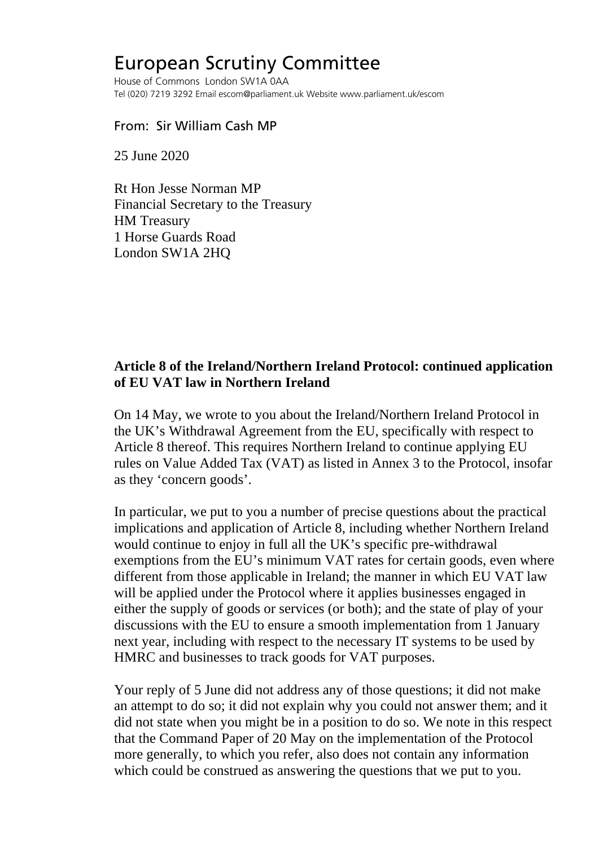## European Scrutiny Committee

House of Commons London SW1A 0AA Tel (020) 7219 3292 Email escom@parliament.uk Website www.parliament.uk/escom

## From: Sir William Cash MP

25 June 2020

Rt Hon Jesse Norman MP Financial Secretary to the Treasury HM Treasury 1 Horse Guards Road London SW1A 2HQ

## **Article 8 of the Ireland/Northern Ireland Protocol: continued application of EU VAT law in Northern Ireland**

On 14 May, we wrote to you about the Ireland/Northern Ireland Protocol in the UK's Withdrawal Agreement from the EU, specifically with respect to Article 8 thereof. This requires Northern Ireland to continue applying EU rules on Value Added Tax (VAT) as listed in Annex 3 to the Protocol, insofar as they 'concern goods'.

In particular, we put to you a number of precise questions about the practical implications and application of Article 8, including whether Northern Ireland would continue to enjoy in full all the UK's specific pre-withdrawal exemptions from the EU's minimum VAT rates for certain goods, even where different from those applicable in Ireland; the manner in which EU VAT law will be applied under the Protocol where it applies businesses engaged in either the supply of goods or services (or both); and the state of play of your discussions with the EU to ensure a smooth implementation from 1 January next year, including with respect to the necessary IT systems to be used by HMRC and businesses to track goods for VAT purposes.

Your reply of 5 June did not address any of those questions; it did not make an attempt to do so; it did not explain why you could not answer them; and it did not state when you might be in a position to do so. We note in this respect that the Command Paper of 20 May on the implementation of the Protocol more generally, to which you refer, also does not contain any information which could be construed as answering the questions that we put to you.